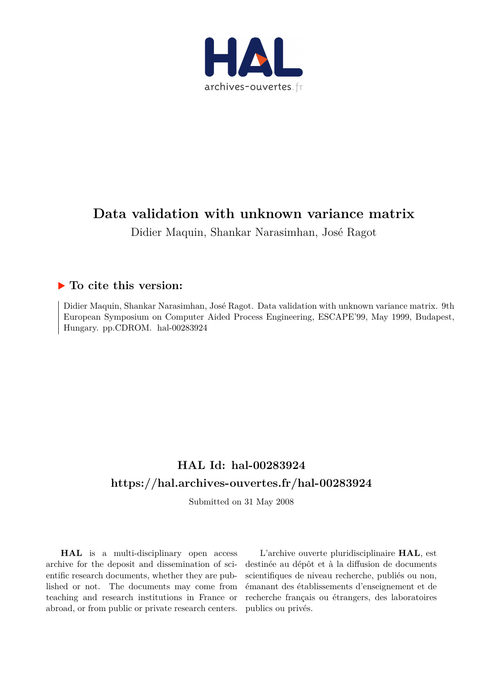

## **Data validation with unknown variance matrix**

Didier Maquin, Shankar Narasimhan, José Ragot

### **To cite this version:**

Didier Maquin, Shankar Narasimhan, José Ragot. Data validation with unknown variance matrix. 9th European Symposium on Computer Aided Process Engineering, ESCAPE'99, May 1999, Budapest, Hungary. pp.CDROM. hal-00283924

### **HAL Id: hal-00283924 <https://hal.archives-ouvertes.fr/hal-00283924>**

Submitted on 31 May 2008

**HAL** is a multi-disciplinary open access archive for the deposit and dissemination of scientific research documents, whether they are published or not. The documents may come from teaching and research institutions in France or abroad, or from public or private research centers.

L'archive ouverte pluridisciplinaire **HAL**, est destinée au dépôt et à la diffusion de documents scientifiques de niveau recherche, publiés ou non, émanant des établissements d'enseignement et de recherche français ou étrangers, des laboratoires publics ou privés.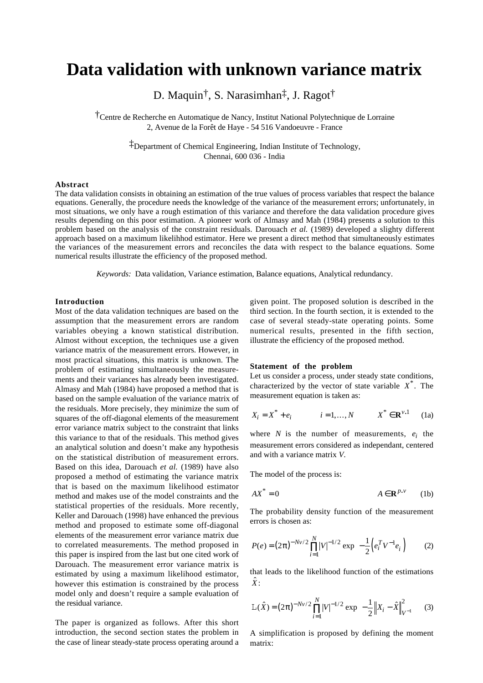# **Data validation with unknown variance matrix**

D. Maquin†, S. Narasimhan‡, J. Ragot†

†Centre de Recherche en Automatique de Nancy, Institut National Polytechnique de Lorraine 2, Avenue de la Forêt de Haye - 54 516 Vandoeuvre - France

> ‡Department of Chemical Engineering, Indian Institute of Technology, Chennai, 600 036 - India

#### **Abstract**

The data validation consists in obtaining an estimation of the true values of process variables that respect the balance equations. Generally, the procedure needs the knowledge of the variance of the measurement errors; unfortunately, in most situations, we only have a rough estimation of this variance and therefore the data validation procedure gives results depending on this poor estimation. A pioneer work of Almasy and Mah (1984) presents a solution to this problem based on the analysis of the constraint residuals. Darouach *et al.* (1989) developed a slighty different approach based on a maximum likelihhod estimator. Here we present a direct method that simultaneously estimates the variances of the measurement errors and reconciles the data with respect to the balance equations. Some numerical results illustrate the efficiency of the proposed method.

*Keywords:* Data validation, Variance estimation, Balance equations, Analytical redundancy.

#### **Introduction**

Most of the data validation techniques are based on the assumption that the measurement errors are random variables obeying a known statistical distribution. Almost without exception, the techniques use a given variance matrix of the measurement errors. However, in most practical situations, this matrix is unknown. The problem of estimating simultaneously the measurements and their variances has already been investigated. Almasy and Mah (1984) have proposed a method that is based on the sample evaluation of the variance matrix of the residuals. More precisely, they minimize the sum of squares of the off-diagonal elements of the measurement error variance matrix subject to the constraint that links this variance to that of the residuals. This method gives an analytical solution and doesn't make any hypothesis on the statistical distribution of measurement errors. Based on this idea, Darouach *et al.* (1989) have also proposed a method of estimating the variance matrix that is based on the maximum likelihood estimator method and makes use of the model constraints and the statistical properties of the residuals. More recently, Keller and Darouach (1998) have enhanced the previous method and proposed to estimate some off-diagonal elements of the measurement error variance matrix due to correlated measurements. The method proposed in this paper is inspired from the last but one cited work of Darouach. The measurement error variance matrix is estimated by using a maximum likelihood estimator, however this estimation is constrained by the process model only and doesn't require a sample evaluation of the residual variance.

The paper is organized as follows. After this short introduction, the second section states the problem in the case of linear steady-state process operating around a given point. The proposed solution is described in the third section. In the fourth section, it is extended to the case of several steady-state operating points. Some numerical results, presented in the fifth section, illustrate the efficiency of the proposed method.

#### **Statement of the problem**

Let us consider a process, under steady state conditions, characterized by the vector of state variable *X* \* . The measurement equation is taken as:

$$
X_i = X^* + e_i
$$
  $i = 1,..., N$   $X^* \in \mathbb{R}^{\nu,1}$  (1a)

where *N* is the number of measurements,  $e_i$  the measurement errors considered as independant, centered and with a variance matrix *V*.

The model of the process is:

$$
AX^* = 0 \qquad A \in \mathbf{R}^{p.v} \qquad (1b)
$$

The probability density function of the measurement errors is chosen as:

$$
P(e) = (2\pi)^{-Nv/2} \prod_{i=1}^{N} |V|^{-1/2} \exp\left(-\frac{1}{2} \left(e_i^T V^{-1} e_i\right)\right) \tag{2}
$$

that leads to the likelihood function of the estimations  $\hat{X}$  :

$$
L(\hat{X}) = (2\pi)^{-N_V/2} \prod_{i=1}^{N} |V|^{-1/2} \exp\left(-\frac{1}{2} \|X_i - \hat{X}\|_{V^{-1}}^2\right) \tag{3}
$$

A simplification is proposed by defining the moment matrix: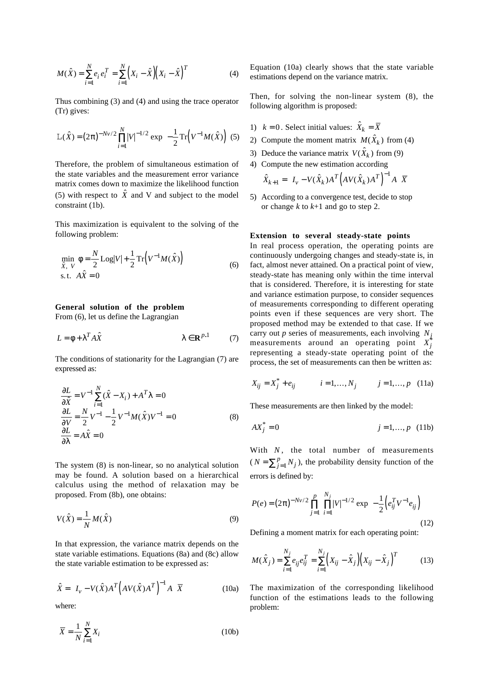$$
M(\hat{X}) = \sum_{i=1}^{N} e_i e_i^T = \sum_{i=1}^{N} (X_i - \hat{X}) (X_i - \hat{X})^T
$$
 (4)

Thus combining (3) and (4) and using the trace operator (Tr) gives:

$$
L(\hat{X}) = (2\pi)^{-Nv/2} \prod_{i=1}^{N} |V|^{-1/2} \exp\left(-\frac{1}{2} \operatorname{Tr}\left(V^{-1} M(\hat{X})\right)\right) (5)
$$

Therefore, the problem of simultaneous estimation of the state variables and the measurement error variance matrix comes down to maximize the likelihood function (5) with respect to  $\hat{X}$  and V and subject to the model constraint (1b).

This maximization is equivalent to the solving of the following problem:

$$
\begin{cases}\n\min_{\hat{X}, V} \phi = \frac{N}{2} \text{Log}|V| + \frac{1}{2} \text{Tr}\left(V^{-1} M(\hat{X})\right) \\
\text{s.t.} \quad A\hat{X} = 0\n\end{cases} \tag{6}
$$

#### **General solution of the problem**

From (6), let us define the Lagrangian

$$
L = \phi + \lambda^T A \hat{X} \qquad \lambda \in \mathbf{R}^{p,1} \qquad (7)
$$

The conditions of stationarity for the Lagrangian (7) are expressed as:

$$
\begin{cases}\n\frac{\partial L}{\partial \hat{X}} = V^{-1} \sum_{i=1}^{N} (\hat{X} - X_i) + A^T \lambda = 0 \\
\frac{\partial L}{\partial V} = \frac{N}{2} V^{-1} - \frac{1}{2} V^{-1} M(\hat{X}) V^{-1} = 0 \\
\frac{\partial L}{\partial \lambda} = A\hat{X} = 0\n\end{cases}
$$
\n(8)

The system (8) is non-linear, so no analytical solution may be found. A solution based on a hierarchical calculus using the method of relaxation may be proposed. From (8b), one obtains:

$$
V(\hat{X}) = \frac{1}{N} M(\hat{X})
$$
\n(9)

In that expression, the variance matrix depends on the state variable estimations. Equations (8a) and (8c) allow the state variable estimation to be expressed as:

$$
\hat{X} = \left(I_v - V(\hat{X})A^T \left(AV(\hat{X})A^T\right)^{-1} A\right) \overline{X}
$$
\n(10a)

where:

$$
\overline{X} = \frac{1}{N} \sum_{i=1}^{N} X_i
$$
\n(10b)

Equation (10a) clearly shows that the state variable estimations depend on the variance matrix.

Then, for solving the non-linear system (8), the following algorithm is proposed:

- 1)  $k = 0$ . Select initial values:  $\hat{X}_k = \overline{X}$
- 2) Compute the moment matrix  $M(\hat{X}_k)$  from (4)
- 3) Deduce the variance matrix  $V(\hat{X}_k)$  from (9)
- 4) Compute the new estimation according

$$
\hat{X}_{k+1} = \left(I_v - V(\hat{X}_k)A^T \left(AV(\hat{X}_k)A^T\right)^{-1}A\right)\overline{X}
$$

5) According to a convergence test, decide to stop or change *k* to *k*+1 and go to step 2.

#### **Extension to several steady-state points**

In real process operation, the operating points are continuously undergoing changes and steady-state is, in fact, almost never attained. On a practical point of view, steady-state has meaning only within the time interval that is considered. Therefore, it is interesting for state and variance estimation purpose, to consider sequences of measurements corresponding to different operating points even if these sequences are very short. The proposed method may be extended to that case. If we carry out *p* series of measurements, each involving  $N_i$ measurements around an operating point  $X_j^*$ representing a steady-state operating point of the process, the set of measurements can then be written as:

$$
X_{ij} = X_j^* + e_{ij} \qquad i = 1, ..., N_j \qquad j = 1, ..., p \quad (11a)
$$

These measurements are then linked by the model:

$$
AX_j^* = 0 \t j = 1,...,p \t (11b)
$$

With  $N$ , the total number of measurements  $(N = \sum_{j=1}^{p} N_j)$ , the probability density function of the errors is defined by:

$$
P(e) = (2\pi)^{-Nv/2} \prod_{j=1}^{p} \prod_{i=1}^{N_j} |V|^{-1/2} \exp\left(-\frac{1}{2} \left(e_{ij}^T V^{-1} e_{ij}\right)\right)
$$
(12)

Defining a moment matrix for each operating point:

$$
M(\hat{X}_j) = \sum_{i=1}^{N_j} e_{ij} e_{ij}^T = \sum_{i=1}^{N_j} \left( X_{ij} - \hat{X}_j \right) \left( X_{ij} - \hat{X}_j \right)^T
$$
(13)

The maximization of the corresponding likelihood function of the estimations leads to the following problem: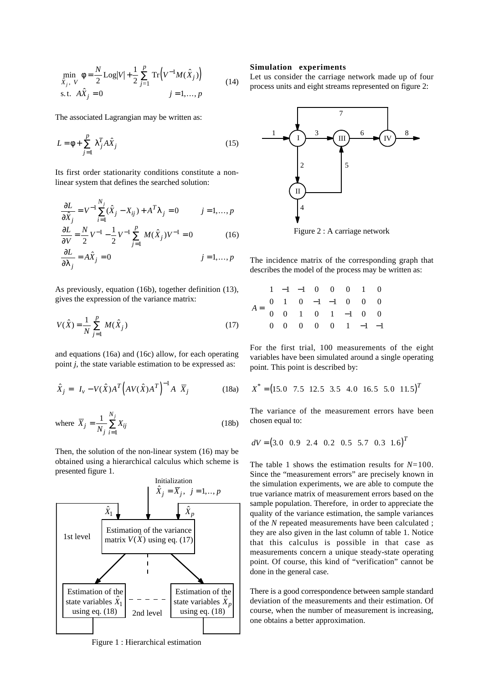$$
\begin{cases}\n\min_{\hat{X}_j, V} \phi = \frac{N}{2} \text{Log}|V| + \frac{1}{2} \sum_{j=1}^p \text{Tr}(V^{-1} M(\hat{X}_j)) \\
\text{s.t. } A\hat{X}_j = 0 \qquad j = 1, ..., p\n\end{cases}
$$
\n(14)

The associated Lagrangian may be written as:

$$
L = \phi + \sum_{j=1}^{p} \lambda_j^T A \hat{X}_j
$$
 (15)

Its first order stationarity conditions constitute a nonlinear system that defines the searched solution:

$$
\begin{cases}\n\frac{\partial L}{\partial \hat{X}_j} = V^{-1} \sum_{i=1}^{N_j} (\hat{X}_j - X_{ij}) + A^T \lambda_j = 0 & j = 1, ..., p \\
\frac{\partial L}{\partial V} = \frac{N}{2} V^{-1} - \frac{1}{2} V^{-1} \sum_{j=1}^{p} M(\hat{X}_j) V^{-1} = 0 & (16)\n\end{cases}
$$

$$
\frac{\partial L}{\partial \lambda_j} = A\hat{X}_j = 0 \qquad j = 1, ..., p
$$

As previously, equation (16b), together definition (13), gives the expression of the variance matrix:

$$
V(\hat{X}) = \frac{1}{N} \sum_{j=1}^{p} M(\hat{X}_j)
$$
 (17)

and equations (16a) and (16c) allow, for each operating point *j*, the state variable estimation to be expressed as:

$$
\hat{X}_j = \left(I_v - V(\hat{X})A^T \left(AV(\hat{X})A^T\right)^{-1} A\right) \overline{X}_j
$$
\n(18a)

where 
$$
\overline{X}_j = \frac{1}{N_j} \sum_{i=1}^{N_j} X_{ij}
$$
 (18b)

Then, the solution of the non-linear system (16) may be obtained using a hierarchical calculus which scheme is presented figure 1.



Figure 1 : Hierarchical estimation

#### **Simulation experiments**

Let us consider the carriage network made up of four process units and eight streams represented on figure 2:



Figure 2 : A carriage network

The incidence matrix of the corresponding graph that describes the model of the process may be written as:

| $A = \begin{pmatrix} 1 & -1 & -1 & 0 & 0 & 0 & 1 & 0 \\ 0 & 1 & 0 & -1 & -1 & 0 & 0 & 0 \\ 0 & 0 & 1 & 0 & 1 & -1 & 0 & 0 \\ 0 & 0 & 0 & 0 & 0 & 1 & -1 & -1 \end{pmatrix}$ |  |  |  |  |
|-----------------------------------------------------------------------------------------------------------------------------------------------------------------------------|--|--|--|--|
|                                                                                                                                                                             |  |  |  |  |
|                                                                                                                                                                             |  |  |  |  |

For the first trial, 100 measurements of the eight variables have been simulated around a single operating point. This point is described by:

$$
X^* = (15.0 \quad 7.5 \quad 12.5 \quad 3.5 \quad 4.0 \quad 16.5 \quad 5.0 \quad 11.5)^T
$$

The variance of the measurement errors have been chosen equal to:

$$
dV = (3.0 \quad 0.9 \quad 2.4 \quad 0.2 \quad 0.5 \quad 5.7 \quad 0.3 \quad 1.6)^T
$$

The table 1 shows the estimation results for *N*=100. Since the "measurement errors" are precisely known in the simulation experiments, we are able to compute the true variance matrix of measurement errors based on the sample population. Therefore, in order to appreciate the quality of the variance estimation, the sample variances of the *N* repeated measurements have been calculated ; they are also given in the last column of table 1. Notice that this calculus is possible in that case as measurements concern a unique steady-state operating point. Of course, this kind of "verification" cannot be done in the general case.

There is a good correspondence between sample standard deviation of the measurements and their estimation. Of course, when the number of measurement is increasing, one obtains a better approximation.